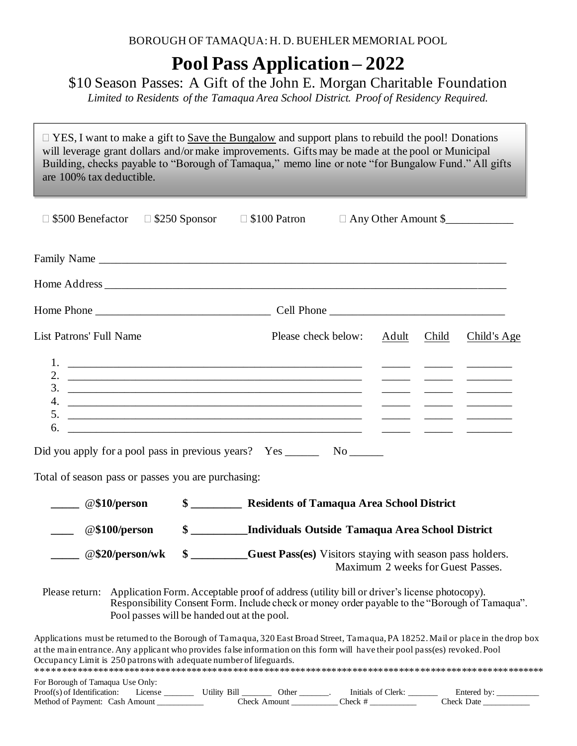# **Pool Pass Application – 2022**

### \$10 Season Passes: A Gift of the John E. Morgan Charitable Foundation

*Limited to Residents of the Tamaqua Area School District. Proof of Residency Required.*

□ YES, I want to make a gift to Save the Bungalow and support plans to rebuild the pool! Donations will leverage grant dollars and/or make improvements. Gifts may be made at the pool or Municipal Building, checks payable to "Borough of Tamaqua," memo line or note "for Bungalow Fund." All gifts are 100% tax deductible.

| $\Box$ \$500 Benefactor                                            |                 | $\Box$ \$250 Sponsor | $\Box$ \$100 Patron                                                                                                                                                                                                                                             |  |                                   |       | □ Any Other Amount \$_____________ |  |
|--------------------------------------------------------------------|-----------------|----------------------|-----------------------------------------------------------------------------------------------------------------------------------------------------------------------------------------------------------------------------------------------------------------|--|-----------------------------------|-------|------------------------------------|--|
|                                                                    |                 |                      |                                                                                                                                                                                                                                                                 |  |                                   |       |                                    |  |
|                                                                    |                 |                      |                                                                                                                                                                                                                                                                 |  |                                   |       |                                    |  |
|                                                                    |                 |                      |                                                                                                                                                                                                                                                                 |  |                                   |       |                                    |  |
| <b>List Patrons' Full Name</b>                                     |                 |                      | Please check below:                                                                                                                                                                                                                                             |  |                                   | Child | Child's Age                        |  |
|                                                                    |                 |                      |                                                                                                                                                                                                                                                                 |  |                                   |       |                                    |  |
|                                                                    |                 |                      |                                                                                                                                                                                                                                                                 |  |                                   |       |                                    |  |
|                                                                    |                 |                      |                                                                                                                                                                                                                                                                 |  |                                   |       |                                    |  |
|                                                                    |                 |                      |                                                                                                                                                                                                                                                                 |  |                                   |       |                                    |  |
|                                                                    |                 |                      |                                                                                                                                                                                                                                                                 |  |                                   |       |                                    |  |
| 6.                                                                 |                 |                      | <u> 1989 - John Stein, Amerikaansk politiker (* 1958)</u>                                                                                                                                                                                                       |  |                                   |       |                                    |  |
|                                                                    |                 |                      | Did you apply for a pool pass in previous years? Yes __________ No ________                                                                                                                                                                                     |  |                                   |       |                                    |  |
| Total of season pass or passes you are purchasing:                 |                 |                      |                                                                                                                                                                                                                                                                 |  |                                   |       |                                    |  |
| $\omega$ \$10/person                                               |                 |                      | \$ _________________ Residents of Tamaqua Area School District                                                                                                                                                                                                  |  |                                   |       |                                    |  |
| @\$100/person<br>$\mathcal{L}_{\text{max}}$                        |                 |                      | \$ ________ Individuals Outside Tamaqua Area School District                                                                                                                                                                                                    |  |                                   |       |                                    |  |
|                                                                    | @\$20/person/wk |                      | \$ ________Guest Pass(es) Visitors staying with season pass holders.                                                                                                                                                                                            |  | Maximum 2 weeks for Guest Passes. |       |                                    |  |
|                                                                    |                 |                      | Please return: Application Form. Acceptable proof of address (utility bill or driver's license photocopy).<br>Responsibility Consent Form. Include check or money order payable to the "Borough of Tamaqua".<br>Pool passes will be handed out at the pool.     |  |                                   |       |                                    |  |
| Occupancy Limit is 250 patrons with adequate number of lifeguards. |                 |                      | Applications must be returned to the Borough of Tamaqua, 320 East Broad Street, Tamaqua, PA 18252. Mail or place in the drop box<br>at the main entrance. Any applicant who provides false information on this form will have their pool pass(es) revoked. Pool |  |                                   |       |                                    |  |
| For Borough of Tamaqua Use Only:                                   |                 |                      |                                                                                                                                                                                                                                                                 |  |                                   |       |                                    |  |

| Proof<br>entitication.            | cons.                    | 31.I<br>tility         | )th | Initials<br>$_{\alpha r}$ l<br><u>ດ1</u> |                     |
|-----------------------------------|--------------------------|------------------------|-----|------------------------------------------|---------------------|
| Method of<br>Payment <sup>.</sup> | $m$ $\alpha$ unt<br>`ach | $\gamma_{\text{back}}$ |     | Theck                                    | . Theck"<br>' Jotel |
|                                   |                          |                        |     |                                          |                     |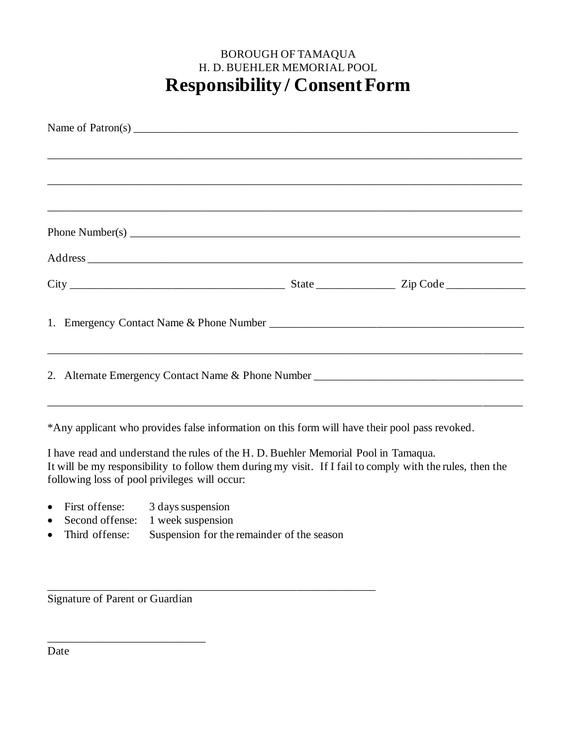## BOROUGH OF TAMAQUA H. D. BUEHLER MEMORIAL POOL **Responsibility / ConsentForm**

| ,我们也不能在这里的时候,我们也不能在这里的时候,我们也不能会在这里的时候,我们也不能会在这里的时候,我们也不能会在这里的时候,我们也不能会在这里的时候,我们也不<br>Phone Number(s) $\frac{1}{2}$ $\frac{1}{2}$ $\frac{1}{2}$ $\frac{1}{2}$ $\frac{1}{2}$ $\frac{1}{2}$ $\frac{1}{2}$ $\frac{1}{2}$ $\frac{1}{2}$ $\frac{1}{2}$ $\frac{1}{2}$ $\frac{1}{2}$ $\frac{1}{2}$ $\frac{1}{2}$ $\frac{1}{2}$ $\frac{1}{2}$ $\frac{1}{2}$ $\frac{1}{2}$ $\frac{1}{2}$ $\frac{1}{2}$ $\frac{1$ | Name of Patron(s) $\qquad \qquad$ |  |
|--------------------------------------------------------------------------------------------------------------------------------------------------------------------------------------------------------------------------------------------------------------------------------------------------------------------------------------------------------------------------------------------------------|-----------------------------------|--|
|                                                                                                                                                                                                                                                                                                                                                                                                        |                                   |  |
|                                                                                                                                                                                                                                                                                                                                                                                                        |                                   |  |
|                                                                                                                                                                                                                                                                                                                                                                                                        |                                   |  |
|                                                                                                                                                                                                                                                                                                                                                                                                        |                                   |  |
|                                                                                                                                                                                                                                                                                                                                                                                                        |                                   |  |
|                                                                                                                                                                                                                                                                                                                                                                                                        |                                   |  |
|                                                                                                                                                                                                                                                                                                                                                                                                        |                                   |  |
|                                                                                                                                                                                                                                                                                                                                                                                                        |                                   |  |
| 2. Alternate Emergency Contact Name & Phone Number _____________________________                                                                                                                                                                                                                                                                                                                       |                                   |  |
| *Any applicant who provides false information on this form will have their pool pass revoked.                                                                                                                                                                                                                                                                                                          |                                   |  |
| I have read and understand the rules of the H. D. Buehler Memorial Pool in Tamaqua.<br>It will be my responsibility to follow them during my visit. If I fail to comply with the rules, then the                                                                                                                                                                                                       |                                   |  |

following loss of pool privileges will occur:

- First offense: 3 days suspension
- Second offense: 1 week suspension
- Third offense: Suspension for the remainder of the season

\_\_\_\_\_\_\_\_\_\_\_\_\_\_\_\_\_\_\_\_\_\_\_\_\_\_\_\_\_\_\_\_\_\_\_\_\_\_\_\_\_\_\_\_\_\_\_\_\_\_\_\_\_\_\_\_\_\_

Signature of Parent or Guardian

\_\_\_\_\_\_\_\_\_\_\_\_\_\_\_\_\_\_\_\_\_\_\_\_\_\_\_\_

Date